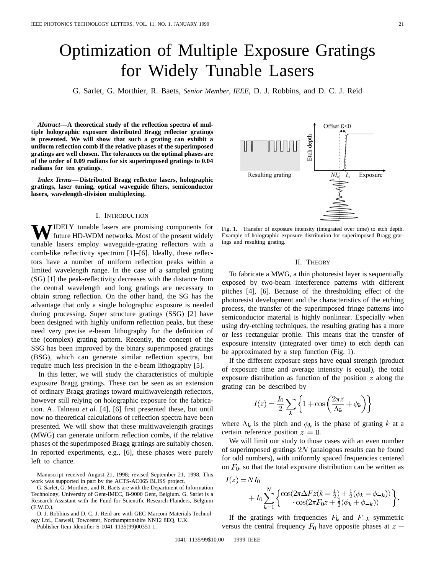# Optimization of Multiple Exposure Gratings for Widely Tunable Lasers

G. Sarlet, G. Morthier, R. Baets, *Senior Member, IEEE*, D. J. Robbins, and D. C. J. Reid

*Abstract—***A theoretical study of the reflection spectra of multiple holographic exposure distributed Bragg reflector gratings is presented. We will show that such a grating can exhibit a uniform reflection comb if the relative phases of the superimposed gratings are well chosen. The tolerances on the optimal phases are of the order of 0.09 radians for six superimposed gratings to 0.04 radians for ten gratings.**

*Index Terms—***Distributed Bragg reflector lasers, holographic gratings, laser tuning, optical waveguide filters, semiconductor lasers, wavelength-division multiplexing.**

#### I. INTRODUCTION

**TIDELY** tunable lasers are promising components for future HD-WDM networks. Most of the present widely tunable lasers employ waveguide-grating reflectors with a comb-like reflectivity spectrum [1]–[6]. Ideally, these reflectors have a number of uniform reflection peaks within a limited wavelength range. In the case of a sampled grating (SG) [1] the peak-reflectivity decreases with the distance from the central wavelength and long gratings are necessary to obtain strong reflection. On the other hand, the SG has the advantage that only a single holographic exposure is needed during processing. Super structure gratings (SSG) [2] have been designed with highly uniform reflection peaks, but these need very precise e-beam lithography for the definition of the (complex) grating pattern. Recently, the concept of the SSG has been improved by the binary superimposed gratings (BSG), which can generate similar reflection spectra, but require much less precision in the e-beam lithography [5].

In this letter, we will study the characteristics of multiple exposure Bragg gratings. These can be seen as an extension of ordinary Bragg gratings toward multiwavelength reflectors, however still relying on holographic exposure for the fabrication. A. Talneau *et al.* [4], [6] first presented these, but until now no theoretical calculations of reflection spectra have been presented. We will show that these multiwavelength gratings (MWG) can generate uniform reflection combs, if the relative phases of the superimposed Bragg gratings are suitably chosen. In reported experiments, e.g., [6], these phases were purely left to chance.

Manuscript received August 21, 1998; revised September 21, 1998. This work was supported in part by the ACTS-AC065 BLISS project.

G. Sarlet, G. Morthier, and R. Baets are with the Department of Information Technology, University of Gent-IMEC, B-9000 Gent, Belgium. G. Sarlet is a Research Assistant with the Fund for Scientific Research-Flanders, Belgium (F.W.O.).

D. J. Robbins and D. C. J. Reid are with GEC-Marconi Materials Technology Ltd., Caswell, Towcester, Northamptonshire NN12 8EQ, U.K.

Publisher Item Identifier S 1041-1135(99)00351-1.



Fig. 1. Transfer of exposure intensity (integrated over time) to etch depth. Example of holographic exposure distribution for superimposed Bragg gratings and resulting grating.

## II. THEORY

To fabricate a MWG, a thin photoresist layer is sequentially exposed by two-beam interference patterns with different pitches [4], [6]. Because of the thresholding effect of the photoresist development and the characteristics of the etching process, the transfer of the superimposed fringe patterns into semiconductor material is highly nonlinear. Especially when using dry-etching techniques, the resulting grating has a more or less rectangular profile. This means that the transfer of exposure intensity (integrated over time) to etch depth can be approximated by a step function (Fig. 1).

If the different exposure steps have equal strength (product of exposure time and average intensity is equal), the total exposure distribution as function of the position  $z$  along the grating can be described by

$$
I(z) = \frac{I_0}{2} \sum_k \left\{ 1 + \cos\left(\frac{2\pi z}{\Lambda_k} + \phi_k\right) \right\}
$$

where  $\Lambda_k$  is the pitch and  $\phi_k$  is the phase of grating k at a certain reference position  $z = 0$ .

We will limit our study to those cases with an even number of superimposed gratings  $2N$  (analogous results can be found for odd numbers), with uniformly spaced frequencies centered on  $F_0$ , so that the total exposure distribution can be written as

$$
I(z) = NI_0
$$
  
+  $I_0 \sum_{k=1}^{N} \left\{ \frac{\cos(2\pi\Delta Fz(k - \frac{1}{2}) + \frac{1}{2}(\phi_k - \phi_{-k}))}{\cos(2\pi F_0 z + \frac{1}{2}(\phi_k + \phi_{-k}))} \right\}.$ 

If the gratings with frequencies  $F_k$  and  $F_{-k}$  symmetric versus the central frequency  $F_0$  have opposite phases at  $z =$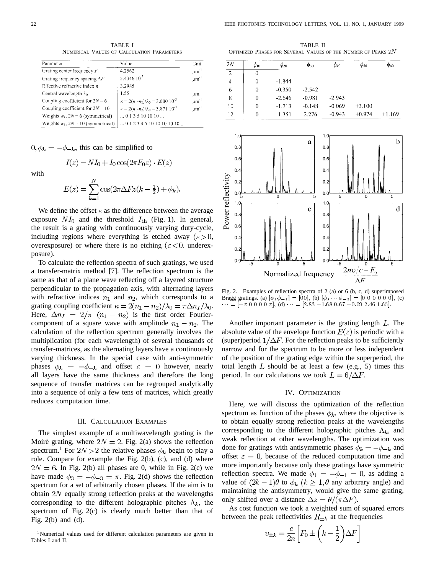TABLE I NUMERICAL VALUES OF CALCULATION PARAMETERS

| Parameter                               | Value                                                 | Unit                  |
|-----------------------------------------|-------------------------------------------------------|-----------------------|
| Grating center frequency $F_0$          | 4.2562                                                | $\mu$ m <sup>-1</sup> |
| Grating frequency spacing $\Delta F$    | 5.4346 $10^{-3}$                                      | um'                   |
| Effective refractive index $n$          | . 3.2985                                              |                       |
| Central wavelength $\lambda_0$          | 1.55                                                  | иm                    |
| Coupling coefficient for $2N - 6$       | $\kappa = 2(n_1-n_2)/\lambda_0 = 3.000 \; 10^{-3}$    | $\mu$ m <sup>-1</sup> |
| Coupling coefficient for $2N = 10$      | $\kappa = 2(n_1-n_2)/\lambda_0 = 3.871 \cdot 10^{-3}$ | $\mu$ m <sup>-1</sup> |
| Weights $w_k$ , $2N = 6$ (symmetrical)  | $\dots$ 0 1 3 5 10 10 10 $\dots$                      |                       |
| Weights $w_k$ , $2N = 10$ (symmetrical) | $\dots$ 0 1 2 3 4 5 10 10 10 10 10 $\dots$            |                       |

 $0, \phi_k = -\phi_{-k}$ , this can be simplified to

$$
I(z) = NI_0 + I_0 \cos(2\pi F_0 z) \cdot E(z)
$$

with

$$
E(z) = \sum_{k=1}^{N} \cos(2\pi \Delta F z (k - \frac{1}{2}) + \phi_k).
$$

We define the offset  $\varepsilon$  as the difference between the average exposure  $NI_0$  and the threshold  $I_{th}$  (Fig. 1). In general, the result is a grating with continuously varying duty-cycle, including regions where everything is etched away ( $\varepsilon > 0$ , overexposure) or where there is no etching ( $\varepsilon < 0$ , underexposure).

To calculate the reflection spectra of such gratings, we used a transfer-matrix method [7]. The reflection spectrum is the same as that of a plane wave reflecting off a layered structure perpendicular to the propagation axis, with alternating layers with refractive indices  $n_1$  and  $n_2$ , which corresponds to a grating coupling coefficient  $\kappa = 2(n_1 - n_2)/\lambda_0 = \pi \Delta n_I/\lambda_0$ . Here,  $\Delta n_I = 2/\pi$   $(n_1 - n_2)$  is the first order Fouriercomponent of a square wave with amplitude  $n_1 - n_2$ . The calculation of the reflection spectrum generally involves the multiplication (for each wavelength) of several thousands of transfer-matrices, as the alternating layers have a continuously varying thickness. In the special case with anti-symmetric phases  $\phi_k = -\phi_{-k}$  and offset  $\varepsilon = 0$  however, nearly all layers have the same thickness and therefore the long sequence of transfer matrices can be regrouped analytically into a sequence of only a few tens of matrices, which greatly reduces computation time.

## III. CALCULATION EXAMPLES

The simplest example of a multiwavelength grating is the Moiré grating, where  $2N = 2$ . Fig. 2(a) shows the reflection spectrum.<sup>1</sup> For  $2N > 2$  the relative phases  $\phi_k$  begin to play a role. Compare for example the Fig. 2(b), (c), and (d) where  $2N = 6$ . In Fig. 2(b) all phases are 0, while in Fig. 2(c) we have made  $\phi_3 = -\phi_{-3} = \pi$ . Fig. 2(d) shows the reflection spectrum for a set of arbitrarily chosen phases. If the aim is to obtain  $2N$  equally strong reflection peaks at the wavelengths corresponding to the different holographic pitches  $\Lambda_k$ , the spectrum of Fig. 2(c) is clearly much better than that of Fig.  $2(b)$  and  $(d)$ .

TABLE II OPTIMIZED PHASES FOR SEVERAL VALUES OF THE NUMBER OF PEAKS  $2N$ 

| 2N             | $\phi_{10}$ | $\phi_{20}$ | $\varphi_{30}$ | $\phi_{40}$ | $\phi_{50}$ | $\phi_{60}$ |
|----------------|-------------|-------------|----------------|-------------|-------------|-------------|
| 2              | 0           |             |                |             |             |             |
| $\overline{4}$ | 0           | $-1.844$    |                |             |             |             |
| -6             | 0           | $-0.350$    | $-2.542$       |             |             |             |
| 8              | 0           | $-2.646$    | $-0.981$       | $-2.943$    |             |             |
| 10             | 0           | $-1.713$    | $-0.148$       | $-0.069$    | $+3.100$    |             |
| 12             | 0           | $-1.351$    | 2.276          | $-0.943$    | $+0.974$    | $+1.169$    |



Fig. 2. Examples of reflection spectra of 2 (a) or 6 (b, c, d) superimposed Fig. 2. Examples of reflection spectra of 2 (a) or 6 (b, c, d) superimposed<br>Bragg gratings. (a)  $[\phi_1 \phi_{-1}] = [00]$ , (b)  $[\phi_3 \cdots \phi_{-3}] = [0 \ 0 \ 0 \ 0 \ 0 \ 0]$ , (c) Bragg gratings. (a)  $[\phi_1 \phi_{-1}] = [00]$ , (b)  $[\phi_3 \cdots \phi_{-3}] = [0 \ 0 \ 0 \ 0 \ 0]$ , (c)<br> $\cdots = [-\pi \ 0 \ 0 \ 0 \ \pi]$ , (d)  $\cdots = [2.83 - 1.68 \ 0.67 - 0.09 \ 2.46 \ 1.65]$ .

Another important parameter is the grating length  $L$ . The absolute value of the envelope function  $E(z)$  is periodic with a (super)period  $1/\Delta F$ . For the reflection peaks to be sufficiently narrow and for the spectrum to be more or less independent of the position of the grating edge within the superperiod, the total length  $L$  should be at least a few (e.g., 5) times this period. In our calculations we took  $L = 6/\Delta F$ .

## IV. OPTIMIZATION

Here, we will discuss the optimization of the reflection spectrum as function of the phases  $\phi_k$ , where the objective is to obtain equally strong reflection peaks at the wavelengths corresponding to the different holographic pitches  $\Lambda_k$ , and weak reflection at other wavelengths. The optimization was done for gratings with antisymmetric phases  $\phi_k = -\phi_{-k}$  and offset  $\varepsilon = 0$ , because of the reduced computation time and more importantly because only these gratings have symmetric reflection spectra. We made  $\phi_1 = -\phi_{-1} = 0$ , as adding a value of  $(2k-1)\theta$  to  $\phi_k$   $(k \geq 1, \theta$  any arbitrary angle) and maintaining the antisymmetry, would give the same grating, only shifted over a distance  $\Delta z = \theta / (\pi \Delta F)$ .

As cost function we took a weighted sum of squared errors between the peak reflectivities  $R_{\pm k}$  at the frequencies

$$
v_{\pm k} = \frac{c}{2n} \left[ F_0 \pm \left( k - \frac{1}{2} \right) \Delta F \right]
$$

<sup>&</sup>lt;sup>1</sup>Numerical values used for different calculation parameters are given in Tables I and II.